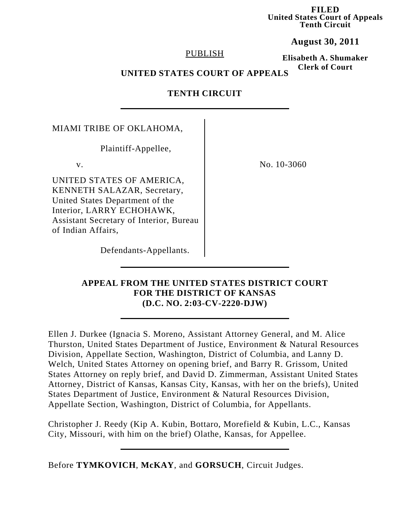**FILED United States Court of Appeals Tenth Circuit**

**August 30, 2011**

## PUBLISH

**Elisabeth A. Shumaker Clerk of Court**

# **UNITED STATES COURT OF APPEALS**

# **TENTH CIRCUIT**

MIAMI TRIBE OF OKLAHOMA,

Plaintiff-Appellee,

UNITED STATES OF AMERICA, KENNETH SALAZAR, Secretary, United States Department of the Interior, LARRY ECHOHAWK, Assistant Secretary of Interior, Bureau of Indian Affairs,

v. No. 10-3060

Defendants-Appellants.

## **APPEAL FROM THE UNITED STATES DISTRICT COURT FOR THE DISTRICT OF KANSAS (D.C. NO. 2:03-CV-2220-DJW)**

Ellen J. Durkee (Ignacia S. Moreno, Assistant Attorney General, and M. Alice Thurston, United States Department of Justice, Environment & Natural Resources Division, Appellate Section, Washington, District of Columbia, and Lanny D. Welch, United States Attorney on opening brief, and Barry R. Grissom, United States Attorney on reply brief, and David D. Zimmerman, Assistant United States Attorney, District of Kansas, Kansas City, Kansas, with her on the briefs), United States Department of Justice, Environment & Natural Resources Division, Appellate Section, Washington, District of Columbia, for Appellants.

Christopher J. Reedy (Kip A. Kubin, Bottaro, Morefield & Kubin, L.C., Kansas City, Missouri, with him on the brief) Olathe, Kansas, for Appellee.

Before **TYMKOVICH**, **McKAY**, and **GORSUCH**, Circuit Judges.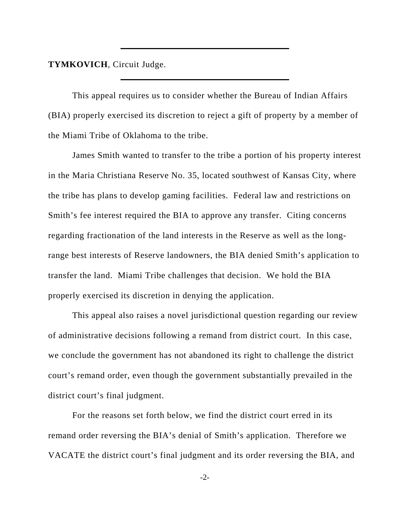**TYMKOVICH**, Circuit Judge.

This appeal requires us to consider whether the Bureau of Indian Affairs (BIA) properly exercised its discretion to reject a gift of property by a member of the Miami Tribe of Oklahoma to the tribe.

James Smith wanted to transfer to the tribe a portion of his property interest in the Maria Christiana Reserve No. 35, located southwest of Kansas City, where the tribe has plans to develop gaming facilities. Federal law and restrictions on Smith's fee interest required the BIA to approve any transfer. Citing concerns regarding fractionation of the land interests in the Reserve as well as the longrange best interests of Reserve landowners, the BIA denied Smith's application to transfer the land. Miami Tribe challenges that decision. We hold the BIA properly exercised its discretion in denying the application.

This appeal also raises a novel jurisdictional question regarding our review of administrative decisions following a remand from district court. In this case, we conclude the government has not abandoned its right to challenge the district court's remand order, even though the government substantially prevailed in the district court's final judgment.

For the reasons set forth below, we find the district court erred in its remand order reversing the BIA's denial of Smith's application. Therefore we VACATE the district court's final judgment and its order reversing the BIA, and

-2-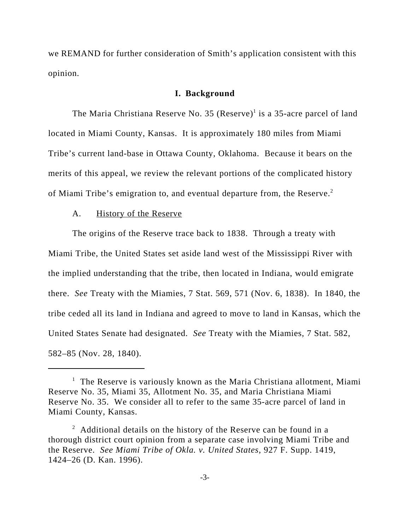we REMAND for further consideration of Smith's application consistent with this opinion.

#### **I. Background**

The Maria Christiana Reserve No. 35 (Reserve)<sup>1</sup> is a 35-acre parcel of land located in Miami County, Kansas. It is approximately 180 miles from Miami Tribe's current land-base in Ottawa County, Oklahoma. Because it bears on the merits of this appeal, we review the relevant portions of the complicated history of Miami Tribe's emigration to, and eventual departure from, the Reserve.<sup>2</sup>

#### A. History of the Reserve

The origins of the Reserve trace back to 1838. Through a treaty with Miami Tribe, the United States set aside land west of the Mississippi River with the implied understanding that the tribe, then located in Indiana, would emigrate there. *See* Treaty with the Miamies, 7 Stat. 569, 571 (Nov. 6, 1838). In 1840, the tribe ceded all its land in Indiana and agreed to move to land in Kansas, which the United States Senate had designated. *See* Treaty with the Miamies, 7 Stat. 582, 582–85 (Nov. 28, 1840).

<sup>&</sup>lt;sup>1</sup> The Reserve is variously known as the Maria Christiana allotment, Miami Reserve No. 35, Miami 35, Allotment No. 35, and Maria Christiana Miami Reserve No. 35. We consider all to refer to the same 35-acre parcel of land in Miami County, Kansas.

 $2$  Additional details on the history of the Reserve can be found in a thorough district court opinion from a separate case involving Miami Tribe and the Reserve. *See Miami Tribe of Okla. v. United States*, 927 F. Supp. 1419, 1424–26 (D. Kan. 1996).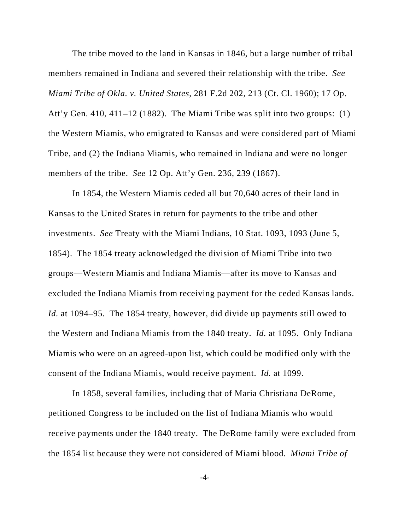The tribe moved to the land in Kansas in 1846, but a large number of tribal members remained in Indiana and severed their relationship with the tribe. *See Miami Tribe of Okla. v. United States*, 281 F.2d 202, 213 (Ct. Cl. 1960); 17 Op. Att'y Gen. 410, 411–12 (1882). The Miami Tribe was split into two groups: (1) the Western Miamis, who emigrated to Kansas and were considered part of Miami Tribe, and (2) the Indiana Miamis, who remained in Indiana and were no longer members of the tribe. *See* 12 Op. Att'y Gen. 236, 239 (1867).

In 1854, the Western Miamis ceded all but 70,640 acres of their land in Kansas to the United States in return for payments to the tribe and other investments. *See* Treaty with the Miami Indians, 10 Stat. 1093, 1093 (June 5, 1854). The 1854 treaty acknowledged the division of Miami Tribe into two groups—Western Miamis and Indiana Miamis—after its move to Kansas and excluded the Indiana Miamis from receiving payment for the ceded Kansas lands. *Id.* at 1094–95. The 1854 treaty, however, did divide up payments still owed to the Western and Indiana Miamis from the 1840 treaty. *Id.* at 1095. Only Indiana Miamis who were on an agreed-upon list, which could be modified only with the consent of the Indiana Miamis, would receive payment. *Id.* at 1099.

In 1858, several families, including that of Maria Christiana DeRome, petitioned Congress to be included on the list of Indiana Miamis who would receive payments under the 1840 treaty. The DeRome family were excluded from the 1854 list because they were not considered of Miami blood. *Miami Tribe of*

-4-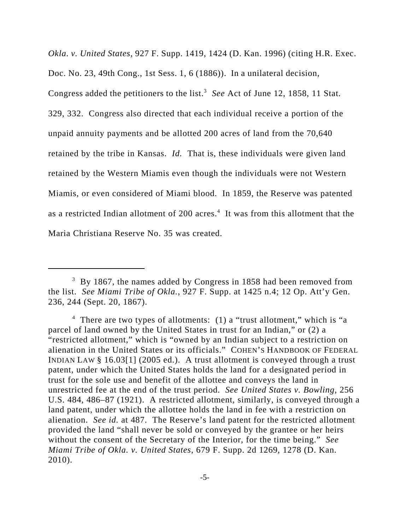*Okla*. *v. United States*, 927 F. Supp. 1419, 1424 (D. Kan. 1996) (citing H.R. Exec. Doc. No. 23, 49th Cong., 1st Sess. 1, 6 (1886)). In a unilateral decision, Congress added the petitioners to the list.<sup>3</sup> See Act of June 12, 1858, 11 Stat. 329, 332. Congress also directed that each individual receive a portion of the unpaid annuity payments and be allotted 200 acres of land from the 70,640 retained by the tribe in Kansas. *Id.* That is, these individuals were given land retained by the Western Miamis even though the individuals were not Western Miamis, or even considered of Miami blood.In 1859, the Reserve was patented as a restricted Indian allotment of 200 acres.<sup>4</sup> It was from this allotment that the Maria Christiana Reserve No. 35 was created.

 $3$  By 1867, the names added by Congress in 1858 had been removed from the list. *See Miami Tribe of Okla.*, 927 F. Supp. at 1425 n.4; 12 Op. Att'y Gen. 236, 244 (Sept. 20, 1867).

<sup>&</sup>lt;sup>4</sup> There are two types of allotments: (1) a "trust allotment," which is "a parcel of land owned by the United States in trust for an Indian," or (2) a "restricted allotment," which is "owned by an Indian subject to a restriction on alienation in the United States or its officials." COHEN'S HANDBOOK OF FEDERAL INDIAN LAW § 16.03[1] (2005 ed.). A trust allotment is conveyed through a trust patent, under which the United States holds the land for a designated period in trust for the sole use and benefit of the allottee and conveys the land in unrestricted fee at the end of the trust period. *See United States v. Bowling*, 256 U.S. 484, 486–87 (1921). A restricted allotment, similarly, is conveyed through a land patent, under which the allottee holds the land in fee with a restriction on alienation. *See id.* at 487. The Reserve's land patent for the restricted allotment provided the land "shall never be sold or conveyed by the grantee or her heirs without the consent of the Secretary of the Interior, for the time being." *See Miami Tribe of Okla. v. United States*, 679 F. Supp. 2d 1269, 1278 (D. Kan. 2010).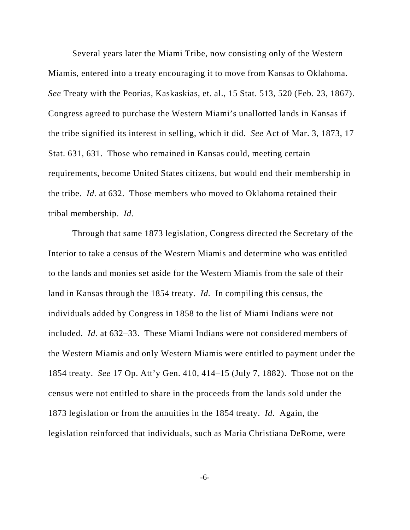Several years later the Miami Tribe, now consisting only of the Western Miamis, entered into a treaty encouraging it to move from Kansas to Oklahoma. *See* Treaty with the Peorias, Kaskaskias, et. al., 15 Stat. 513, 520 (Feb. 23, 1867). Congress agreed to purchase the Western Miami's unallotted lands in Kansas if the tribe signified its interest in selling, which it did. *See* Act of Mar. 3, 1873, 17 Stat. 631, 631. Those who remained in Kansas could, meeting certain requirements, become United States citizens, but would end their membership in the tribe. *Id.* at 632. Those members who moved to Oklahoma retained their tribal membership. *Id.* 

Through that same 1873 legislation, Congress directed the Secretary of the Interior to take a census of the Western Miamis and determine who was entitled to the lands and monies set aside for the Western Miamis from the sale of their land in Kansas through the 1854 treaty. *Id.* In compiling this census, the individuals added by Congress in 1858 to the list of Miami Indians were not included. *Id.* at 632–33. These Miami Indians were not considered members of the Western Miamis and only Western Miamis were entitled to payment under the 1854 treaty. *See* 17 Op. Att'y Gen. 410, 414–15 (July 7, 1882). Those not on the census were not entitled to share in the proceeds from the lands sold under the 1873 legislation or from the annuities in the 1854 treaty. *Id.* Again, the legislation reinforced that individuals, such as Maria Christiana DeRome, were

-6-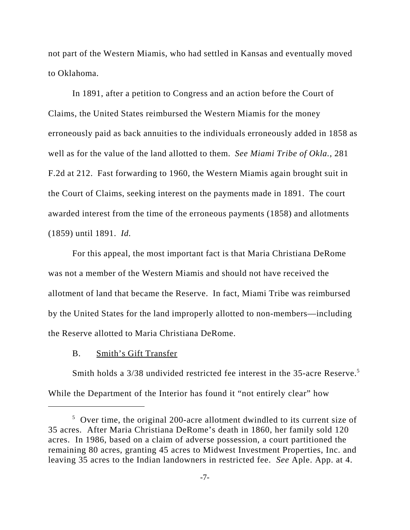not part of the Western Miamis, who had settled in Kansas and eventually moved to Oklahoma.

In 1891, after a petition to Congress and an action before the Court of Claims, the United States reimbursed the Western Miamis for the money erroneously paid as back annuities to the individuals erroneously added in 1858 as well as for the value of the land allotted to them. *See Miami Tribe of Okla.,* 281 F.2d at 212. Fast forwarding to 1960, the Western Miamis again brought suit in the Court of Claims, seeking interest on the payments made in 1891. The court awarded interest from the time of the erroneous payments (1858) and allotments (1859) until 1891. *Id.*

For this appeal, the most important fact is that Maria Christiana DeRome was not a member of the Western Miamis and should not have received the allotment of land that became the Reserve. In fact, Miami Tribe was reimbursed by the United States for the land improperly allotted to non-members—including the Reserve allotted to Maria Christiana DeRome.

B. Smith's Gift Transfer

Smith holds a 3/38 undivided restricted fee interest in the 35-acre Reserve.<sup>5</sup> While the Department of the Interior has found it "not entirely clear" how

<sup>&</sup>lt;sup>5</sup> Over time, the original 200-acre allotment dwindled to its current size of 35 acres. After Maria Christiana DeRome's death in 1860, her family sold 120 acres. In 1986, based on a claim of adverse possession, a court partitioned the remaining 80 acres, granting 45 acres to Midwest Investment Properties, Inc. and leaving 35 acres to the Indian landowners in restricted fee. *See* Aple. App. at 4.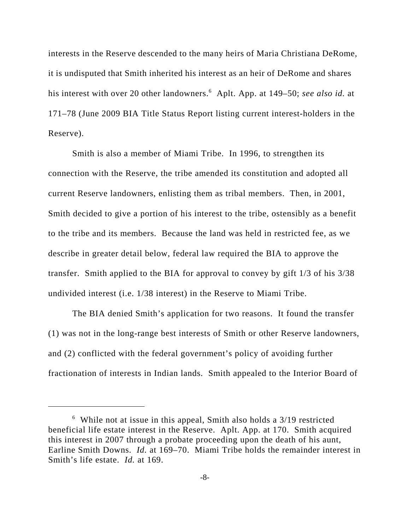interests in the Reserve descended to the many heirs of Maria Christiana DeRome, it is undisputed that Smith inherited his interest as an heir of DeRome and shares his interest with over 20 other landowners.<sup>6</sup> Aplt. App. at 149–50; *see also id.* at 171–78 (June 2009 BIA Title Status Report listing current interest-holders in the Reserve).

Smith is also a member of Miami Tribe. In 1996, to strengthen its connection with the Reserve, the tribe amended its constitution and adopted all current Reserve landowners, enlisting them as tribal members. Then, in 2001, Smith decided to give a portion of his interest to the tribe, ostensibly as a benefit to the tribe and its members. Because the land was held in restricted fee, as we describe in greater detail below, federal law required the BIA to approve the transfer. Smith applied to the BIA for approval to convey by gift 1/3 of his 3/38 undivided interest (i.e. 1/38 interest) in the Reserve to Miami Tribe.

The BIA denied Smith's application for two reasons. It found the transfer (1) was not in the long-range best interests of Smith or other Reserve landowners, and (2) conflicted with the federal government's policy of avoiding further fractionation of interests in Indian lands. Smith appealed to the Interior Board of

<sup>&</sup>lt;sup>6</sup> While not at issue in this appeal, Smith also holds a 3/19 restricted beneficial life estate interest in the Reserve. Aplt. App. at 170. Smith acquired this interest in 2007 through a probate proceeding upon the death of his aunt, Earline Smith Downs. *Id.* at 169–70. Miami Tribe holds the remainder interest in Smith's life estate. *Id.* at 169.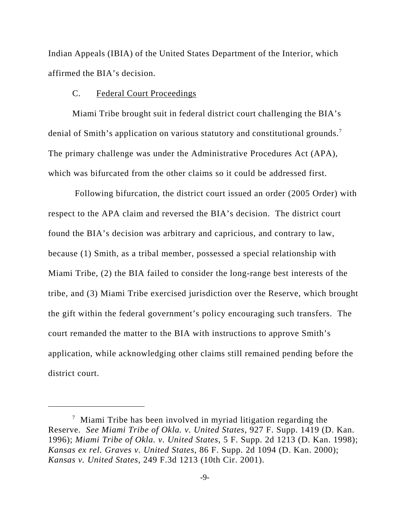Indian Appeals (IBIA) of the United States Department of the Interior, which affirmed the BIA's decision.

## C. Federal Court Proceedings

Miami Tribe brought suit in federal district court challenging the BIA's denial of Smith's application on various statutory and constitutional grounds.<sup>7</sup> The primary challenge was under the Administrative Procedures Act (APA), which was bifurcated from the other claims so it could be addressed first.

 Following bifurcation, the district court issued an order (2005 Order) with respect to the APA claim and reversed the BIA's decision. The district court found the BIA's decision was arbitrary and capricious, and contrary to law, because (1) Smith, as a tribal member, possessed a special relationship with Miami Tribe, (2) the BIA failed to consider the long-range best interests of the tribe, and (3) Miami Tribe exercised jurisdiction over the Reserve, which brought the gift within the federal government's policy encouraging such transfers. The court remanded the matter to the BIA with instructions to approve Smith's application, while acknowledging other claims still remained pending before the district court.

 $\frac{7}{1}$  Miami Tribe has been involved in myriad litigation regarding the Reserve. *See Miami Tribe of Okla. v. United States*, 927 F. Supp. 1419 (D. Kan. 1996); *Miami Tribe of Okla. v. United States*, 5 F. Supp. 2d 1213 (D. Kan. 1998); *Kansas ex rel. Graves v. United States*, 86 F. Supp. 2d 1094 (D. Kan. 2000); *Kansas v. United States*, 249 F.3d 1213 (10th Cir. 2001).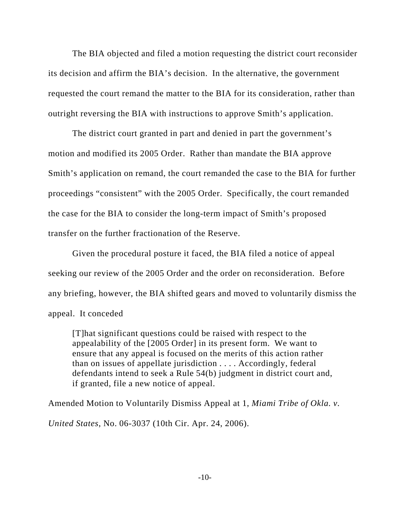The BIA objected and filed a motion requesting the district court reconsider its decision and affirm the BIA's decision. In the alternative, the government requested the court remand the matter to the BIA for its consideration, rather than outright reversing the BIA with instructions to approve Smith's application.

The district court granted in part and denied in part the government's motion and modified its 2005 Order. Rather than mandate the BIA approve Smith's application on remand, the court remanded the case to the BIA for further proceedings "consistent" with the 2005 Order. Specifically, the court remanded the case for the BIA to consider the long-term impact of Smith's proposed transfer on the further fractionation of the Reserve.

Given the procedural posture it faced, the BIA filed a notice of appeal seeking our review of the 2005 Order and the order on reconsideration. Before any briefing, however, the BIA shifted gears and moved to voluntarily dismiss the appeal. It conceded

[T]hat significant questions could be raised with respect to the appealability of the [2005 Order] in its present form. We want to ensure that any appeal is focused on the merits of this action rather than on issues of appellate jurisdiction . . . . Accordingly, federal defendants intend to seek a Rule 54(b) judgment in district court and, if granted, file a new notice of appeal.

Amended Motion to Voluntarily Dismiss Appeal at 1, *Miami Tribe of Okla. v.*

*United States*, No. 06-3037 (10th Cir. Apr. 24, 2006).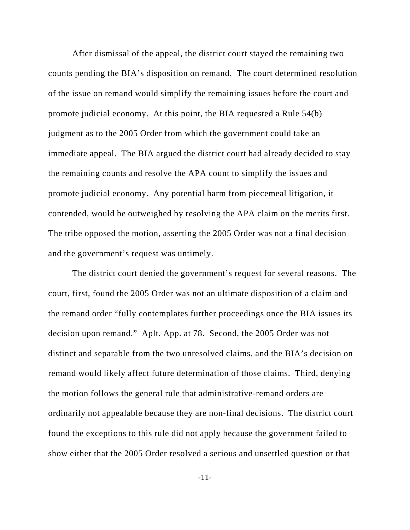After dismissal of the appeal, the district court stayed the remaining two counts pending the BIA's disposition on remand. The court determined resolution of the issue on remand would simplify the remaining issues before the court and promote judicial economy. At this point, the BIA requested a Rule 54(b) judgment as to the 2005 Order from which the government could take an immediate appeal. The BIA argued the district court had already decided to stay the remaining counts and resolve the APA count to simplify the issues and promote judicial economy. Any potential harm from piecemeal litigation, it contended, would be outweighed by resolving the APA claim on the merits first. The tribe opposed the motion, asserting the 2005 Order was not a final decision and the government's request was untimely.

The district court denied the government's request for several reasons. The court, first, found the 2005 Order was not an ultimate disposition of a claim and the remand order "fully contemplates further proceedings once the BIA issues its decision upon remand." Aplt. App. at 78. Second, the 2005 Order was not distinct and separable from the two unresolved claims, and the BIA's decision on remand would likely affect future determination of those claims. Third, denying the motion follows the general rule that administrative-remand orders are ordinarily not appealable because they are non-final decisions. The district court found the exceptions to this rule did not apply because the government failed to show either that the 2005 Order resolved a serious and unsettled question or that

-11-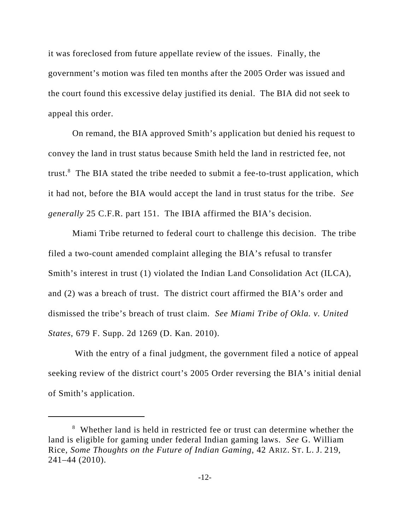it was foreclosed from future appellate review of the issues. Finally, the government's motion was filed ten months after the 2005 Order was issued and the court found this excessive delay justified its denial. The BIA did not seek to appeal this order.

 On remand, the BIA approved Smith's application but denied his request to convey the land in trust status because Smith held the land in restricted fee, not trust.<sup>8</sup> The BIA stated the tribe needed to submit a fee-to-trust application, which it had not, before the BIA would accept the land in trust status for the tribe. *See generally* 25 C.F.R. part 151. The IBIA affirmed the BIA's decision.

Miami Tribe returned to federal court to challenge this decision. The tribe filed a two-count amended complaint alleging the BIA's refusal to transfer Smith's interest in trust (1) violated the Indian Land Consolidation Act (ILCA), and (2) was a breach of trust. The district court affirmed the BIA's order and dismissed the tribe's breach of trust claim. *See Miami Tribe of Okla. v. United States*, 679 F. Supp. 2d 1269 (D. Kan. 2010).

 With the entry of a final judgment, the government filed a notice of appeal seeking review of the district court's 2005 Order reversing the BIA's initial denial of Smith's application.

<sup>&</sup>lt;sup>8</sup> Whether land is held in restricted fee or trust can determine whether the land is eligible for gaming under federal Indian gaming laws. *See* G. William Rice, *Some Thoughts on the Future of Indian Gaming*, 42 ARIZ. ST. L. J. 219, 241–44 (2010).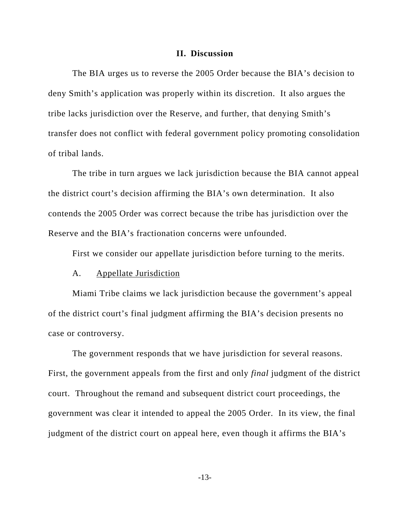#### **II. Discussion**

The BIA urges us to reverse the 2005 Order because the BIA's decision to deny Smith's application was properly within its discretion. It also argues the tribe lacks jurisdiction over the Reserve, and further, that denying Smith's transfer does not conflict with federal government policy promoting consolidation of tribal lands.

The tribe in turn argues we lack jurisdiction because the BIA cannot appeal the district court's decision affirming the BIA's own determination. It also contends the 2005 Order was correct because the tribe has jurisdiction over the Reserve and the BIA's fractionation concerns were unfounded.

First we consider our appellate jurisdiction before turning to the merits.

#### A. Appellate Jurisdiction

Miami Tribe claims we lack jurisdiction because the government's appeal of the district court's final judgment affirming the BIA's decision presents no case or controversy.

The government responds that we have jurisdiction for several reasons. First, the government appeals from the first and only *final* judgment of the district court. Throughout the remand and subsequent district court proceedings, the government was clear it intended to appeal the 2005 Order. In its view, the final judgment of the district court on appeal here, even though it affirms the BIA's

-13-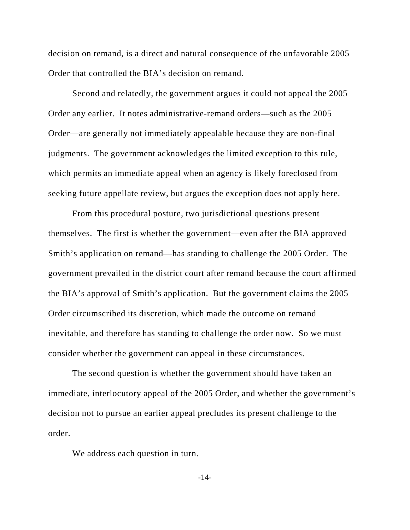decision on remand, is a direct and natural consequence of the unfavorable 2005 Order that controlled the BIA's decision on remand.

Second and relatedly, the government argues it could not appeal the 2005 Order any earlier. It notes administrative-remand orders—such as the 2005 Order—are generally not immediately appealable because they are non-final judgments. The government acknowledges the limited exception to this rule, which permits an immediate appeal when an agency is likely foreclosed from seeking future appellate review, but argues the exception does not apply here.

From this procedural posture, two jurisdictional questions present themselves. The first is whether the government—even after the BIA approved Smith's application on remand—has standing to challenge the 2005 Order. The government prevailed in the district court after remand because the court affirmed the BIA's approval of Smith's application. But the government claims the 2005 Order circumscribed its discretion, which made the outcome on remand inevitable, and therefore has standing to challenge the order now. So we must consider whether the government can appeal in these circumstances.

The second question is whether the government should have taken an immediate, interlocutory appeal of the 2005 Order, and whether the government's decision not to pursue an earlier appeal precludes its present challenge to the order.

We address each question in turn.

-14-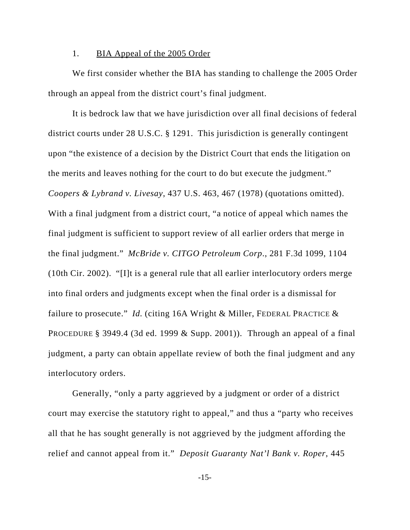#### 1. BIA Appeal of the 2005 Order

We first consider whether the BIA has standing to challenge the 2005 Order through an appeal from the district court's final judgment.

It is bedrock law that we have jurisdiction over all final decisions of federal district courts under 28 U.S.C. § 1291. This jurisdiction is generally contingent upon "the existence of a decision by the District Court that ends the litigation on the merits and leaves nothing for the court to do but execute the judgment." *Coopers & Lybrand v. Livesay*, 437 U.S. 463, 467 (1978) (quotations omitted). With a final judgment from a district court, "a notice of appeal which names the final judgment is sufficient to support review of all earlier orders that merge in the final judgment." *McBride v. CITGO Petroleum Corp*., 281 F.3d 1099, 1104 (10th Cir. 2002). "[I]t is a general rule that all earlier interlocutory orders merge into final orders and judgments except when the final order is a dismissal for failure to prosecute." *Id.* (citing 16A Wright & Miller, FEDERAL PRACTICE & PROCEDURE § 3949.4 (3d ed. 1999  $&$  Supp. 2001)). Through an appeal of a final judgment, a party can obtain appellate review of both the final judgment and any interlocutory orders.

Generally, "only a party aggrieved by a judgment or order of a district court may exercise the statutory right to appeal," and thus a "party who receives all that he has sought generally is not aggrieved by the judgment affording the relief and cannot appeal from it." *Deposit Guaranty Nat'l Bank v. Roper*, 445

-15-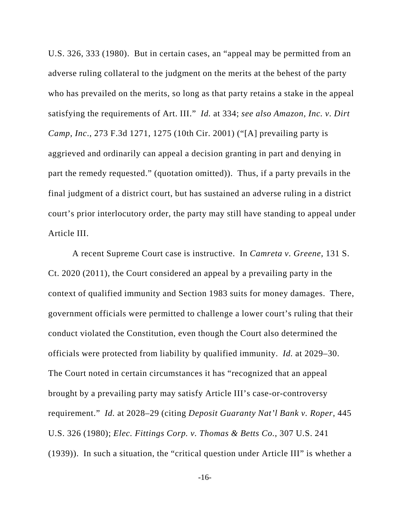U.S. 326, 333 (1980). But in certain cases, an "appeal may be permitted from an adverse ruling collateral to the judgment on the merits at the behest of the party who has prevailed on the merits, so long as that party retains a stake in the appeal satisfying the requirements of Art. III." *Id.* at 334; *see also Amazon, Inc. v. Dirt Camp, Inc*., 273 F.3d 1271, 1275 (10th Cir. 2001) ("[A] prevailing party is aggrieved and ordinarily can appeal a decision granting in part and denying in part the remedy requested." (quotation omitted)). Thus, if a party prevails in the final judgment of a district court, but has sustained an adverse ruling in a district court's prior interlocutory order, the party may still have standing to appeal under Article III.

A recent Supreme Court case is instructive. In *Camreta v. Greene*, 131 S. Ct. 2020 (2011), the Court considered an appeal by a prevailing party in the context of qualified immunity and Section 1983 suits for money damages. There, government officials were permitted to challenge a lower court's ruling that their conduct violated the Constitution, even though the Court also determined the officials were protected from liability by qualified immunity. *Id.* at 2029–30. The Court noted in certain circumstances it has "recognized that an appeal brought by a prevailing party may satisfy Article III's case-or-controversy requirement." *Id.* at 2028–29 (citing *Deposit Guaranty Nat'l Bank v. Roper*, 445 U.S. 326 (1980); *Elec. Fittings Corp. v. Thomas & Betts Co.*, 307 U.S. 241 (1939)). In such a situation, the "critical question under Article III" is whether a

-16-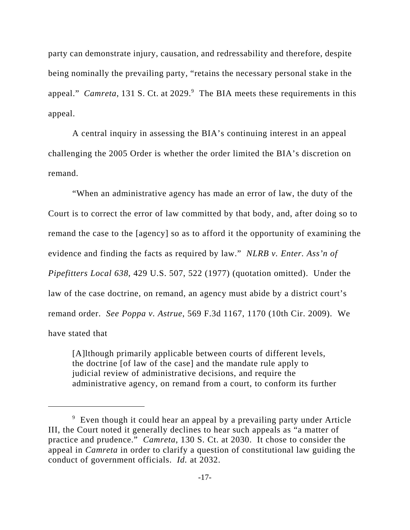party can demonstrate injury, causation, and redressability and therefore, despite being nominally the prevailing party, "retains the necessary personal stake in the appeal." *Camreta*, 131 S. Ct. at 2029.<sup>9</sup> The BIA meets these requirements in this appeal.

A central inquiry in assessing the BIA's continuing interest in an appeal challenging the 2005 Order is whether the order limited the BIA's discretion on remand.

"When an administrative agency has made an error of law, the duty of the Court is to correct the error of law committed by that body, and, after doing so to remand the case to the [agency] so as to afford it the opportunity of examining the evidence and finding the facts as required by law." *NLRB v. Enter. Ass'n of Pipefitters Local 638*, 429 U.S. 507, 522 (1977) (quotation omitted). Under the law of the case doctrine, on remand, an agency must abide by a district court's remand order. *See Poppa v. Astrue*, 569 F.3d 1167, 1170 (10th Cir. 2009). We have stated that

[A]lthough primarily applicable between courts of different levels, the doctrine [of law of the case] and the mandate rule apply to judicial review of administrative decisions, and require the administrative agency, on remand from a court, to conform its further

<sup>&</sup>lt;sup>9</sup> Even though it could hear an appeal by a prevailing party under Article III, the Court noted it generally declines to hear such appeals as "a matter of practice and prudence." *Camreta*, 130 S. Ct. at 2030. It chose to consider the appeal in *Camreta* in order to clarify a question of constitutional law guiding the conduct of government officials. *Id.* at 2032.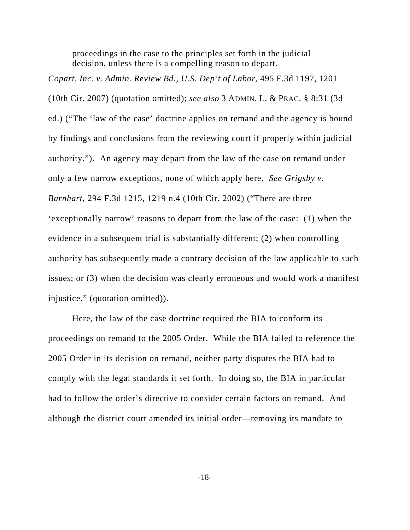proceedings in the case to the principles set forth in the judicial decision, unless there is a compelling reason to depart.

*Copart, Inc. v. Admin. Review Bd., U.S. Dep't of Labor*, 495 F.3d 1197, 1201 (10th Cir. 2007) (quotation omitted); *see also* 3 ADMIN. L. & PRAC. § 8:31 (3d ed.) ("The 'law of the case' doctrine applies on remand and the agency is bound by findings and conclusions from the reviewing court if properly within judicial authority."). An agency may depart from the law of the case on remand under only a few narrow exceptions, none of which apply here. *See Grigsby v. Barnhart*, 294 F.3d 1215, 1219 n.4 (10th Cir. 2002) ("There are three 'exceptionally narrow' reasons to depart from the law of the case: (1) when the evidence in a subsequent trial is substantially different; (2) when controlling authority has subsequently made a contrary decision of the law applicable to such issues; or (3) when the decision was clearly erroneous and would work a manifest injustice." (quotation omitted)).

Here, the law of the case doctrine required the BIA to conform its proceedings on remand to the 2005 Order. While the BIA failed to reference the 2005 Order in its decision on remand, neither party disputes the BIA had to comply with the legal standards it set forth. In doing so, the BIA in particular had to follow the order's directive to consider certain factors on remand. And although the district court amended its initial order—removing its mandate to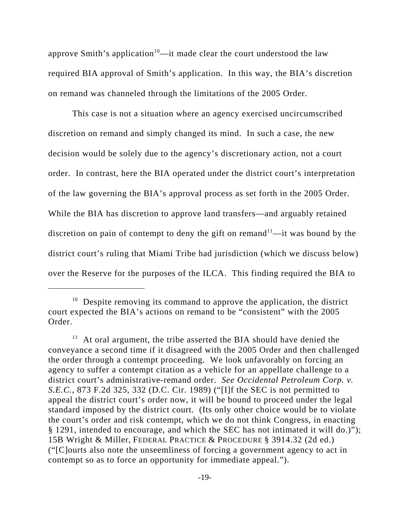approve Smith's application<sup>10</sup>—it made clear the court understood the law required BIA approval of Smith's application. In this way, the BIA's discretion on remand was channeled through the limitations of the 2005 Order.

This case is not a situation where an agency exercised uncircumscribed discretion on remand and simply changed its mind. In such a case, the new decision would be solely due to the agency's discretionary action, not a court order. In contrast, here the BIA operated under the district court's interpretation of the law governing the BIA's approval process as set forth in the 2005 Order. While the BIA has discretion to approve land transfers—and arguably retained discretion on pain of contempt to deny the gift on remand<sup>11</sup>—it was bound by the district court's ruling that Miami Tribe had jurisdiction (which we discuss below) over the Reserve for the purposes of the ILCA. This finding required the BIA to

 $10$  Despite removing its command to approve the application, the district court expected the BIA's actions on remand to be "consistent" with the 2005 Order.

 $11$  At oral argument, the tribe asserted the BIA should have denied the conveyance a second time if it disagreed with the 2005 Order and then challenged the order through a contempt proceeding. We look unfavorably on forcing an agency to suffer a contempt citation as a vehicle for an appellate challenge to a district court's administrative-remand order. *See Occidental Petroleum Corp. v. S.E.C.*, 873 F.2d 325, 332 (D.C. Cir. 1989) ("[I]f the SEC is not permitted to appeal the district court's order now, it will be bound to proceed under the legal standard imposed by the district court. (Its only other choice would be to violate the court's order and risk contempt, which we do not think Congress, in enacting § 1291, intended to encourage, and which the SEC has not intimated it will do.)"); 15B Wright & Miller, FEDERAL PRACTICE & PROCEDURE § 3914.32 (2d ed.) ("[C]ourts also note the unseemliness of forcing a government agency to act in contempt so as to force an opportunity for immediate appeal.").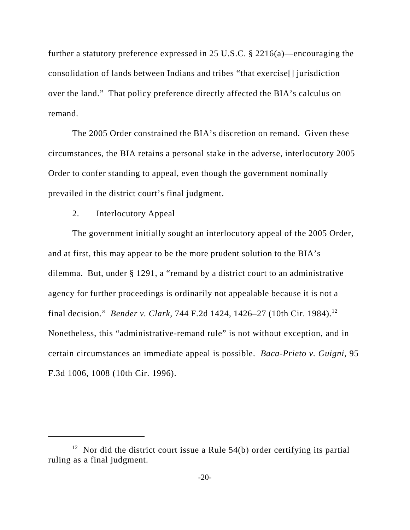further a statutory preference expressed in 25 U.S.C. § 2216(a)—encouraging the consolidation of lands between Indians and tribes "that exercise[] jurisdiction over the land." That policy preference directly affected the BIA's calculus on remand.

The 2005 Order constrained the BIA's discretion on remand. Given these circumstances, the BIA retains a personal stake in the adverse, interlocutory 2005 Order to confer standing to appeal, even though the government nominally prevailed in the district court's final judgment.

#### 2. Interlocutory Appeal

The government initially sought an interlocutory appeal of the 2005 Order, and at first, this may appear to be the more prudent solution to the BIA's dilemma. But, under § 1291, a "remand by a district court to an administrative agency for further proceedings is ordinarily not appealable because it is not a final decision." *Bender v. Clark*, 744 F.2d 1424, 1426–27 (10th Cir. 1984).12 Nonetheless, this "administrative-remand rule" is not without exception, and in certain circumstances an immediate appeal is possible. *Baca-Prieto v. Guigni*, 95 F.3d 1006, 1008 (10th Cir. 1996).

<sup>&</sup>lt;sup>12</sup> Nor did the district court issue a Rule  $54(b)$  order certifying its partial ruling as a final judgment.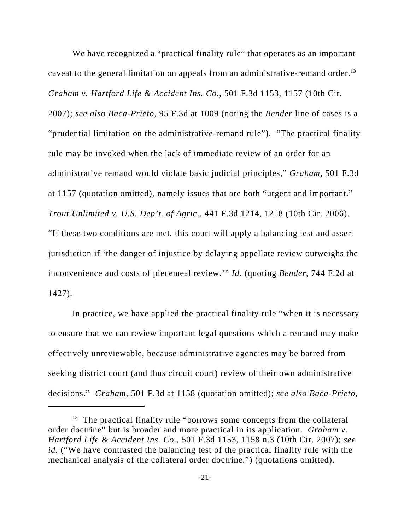We have recognized a "practical finality rule" that operates as an important caveat to the general limitation on appeals from an administrative-remand order.<sup>13</sup> *Graham v. Hartford Life & Accident Ins. Co.*, 501 F.3d 1153, 1157 (10th Cir. 2007); *see also Baca-Prieto*, 95 F.3d at 1009 (noting the *Bender* line of cases is a "prudential limitation on the administrative-remand rule"). "The practical finality rule may be invoked when the lack of immediate review of an order for an administrative remand would violate basic judicial principles," *Graham*, 501 F.3d at 1157 (quotation omitted), namely issues that are both "urgent and important." *Trout Unlimited v. U.S. Dep't. of Agric*., 441 F.3d 1214, 1218 (10th Cir. 2006). "If these two conditions are met, this court will apply a balancing test and assert jurisdiction if 'the danger of injustice by delaying appellate review outweighs the inconvenience and costs of piecemeal review.'" *Id.* (quoting *Bender*, 744 F.2d at 1427).

In practice, we have applied the practical finality rule "when it is necessary to ensure that we can review important legal questions which a remand may make effectively unreviewable, because administrative agencies may be barred from seeking district court (and thus circuit court) review of their own administrative decisions." *Graham*, 501 F.3d at 1158 (quotation omitted); *see also Baca-Prieto*,

 $13$  The practical finality rule "borrows some concepts from the collateral order doctrine" but is broader and more practical in its application. *Graham v. Hartford Life & Accident Ins. Co.*, 501 F.3d 1153, 1158 n.3 (10th Cir. 2007); *see id.* ("We have contrasted the balancing test of the practical finality rule with the mechanical analysis of the collateral order doctrine.") (quotations omitted).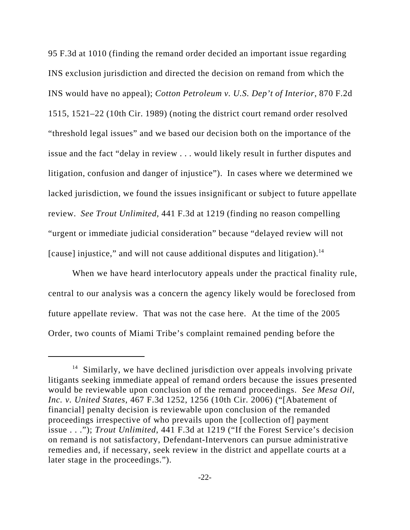95 F.3d at 1010 (finding the remand order decided an important issue regarding INS exclusion jurisdiction and directed the decision on remand from which the INS would have no appeal); *Cotton Petroleum v. U.S. Dep't of Interior*, 870 F.2d 1515, 1521–22 (10th Cir. 1989) (noting the district court remand order resolved "threshold legal issues" and we based our decision both on the importance of the issue and the fact "delay in review . . . would likely result in further disputes and litigation, confusion and danger of injustice"). In cases where we determined we lacked jurisdiction, we found the issues insignificant or subject to future appellate review. *See Trout Unlimited*, 441 F.3d at 1219 (finding no reason compelling "urgent or immediate judicial consideration" because "delayed review will not [cause] injustice," and will not cause additional disputes and litigation).<sup>14</sup>

When we have heard interlocutory appeals under the practical finality rule, central to our analysis was a concern the agency likely would be foreclosed from future appellate review. That was not the case here. At the time of the 2005 Order, two counts of Miami Tribe's complaint remained pending before the

 $14$  Similarly, we have declined jurisdiction over appeals involving private litigants seeking immediate appeal of remand orders because the issues presented would be reviewable upon conclusion of the remand proceedings. *See Mesa Oil, Inc. v. United States*, 467 F.3d 1252, 1256 (10th Cir. 2006) ("[Abatement of financial] penalty decision is reviewable upon conclusion of the remanded proceedings irrespective of who prevails upon the [collection of] payment issue . . ."); *Trout Unlimited*, 441 F.3d at 1219 ("If the Forest Service's decision on remand is not satisfactory, Defendant-Intervenors can pursue administrative remedies and, if necessary, seek review in the district and appellate courts at a later stage in the proceedings.").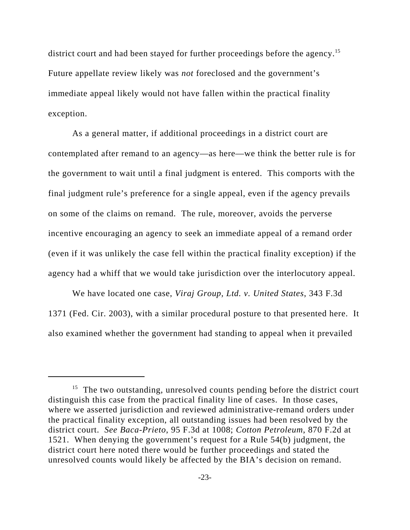district court and had been stayed for further proceedings before the agency.<sup>15</sup> Future appellate review likely was *not* foreclosed and the government's immediate appeal likely would not have fallen within the practical finality exception.

As a general matter, if additional proceedings in a district court are contemplated after remand to an agency—as here—we think the better rule is for the government to wait until a final judgment is entered. This comports with the final judgment rule's preference for a single appeal, even if the agency prevails on some of the claims on remand. The rule, moreover, avoids the perverse incentive encouraging an agency to seek an immediate appeal of a remand order (even if it was unlikely the case fell within the practical finality exception) if the agency had a whiff that we would take jurisdiction over the interlocutory appeal.

We have located one case, *Viraj Group, Ltd. v. United States*, 343 F.3d 1371 (Fed. Cir. 2003), with a similar procedural posture to that presented here. It also examined whether the government had standing to appeal when it prevailed

 $15$  The two outstanding, unresolved counts pending before the district court distinguish this case from the practical finality line of cases. In those cases, where we asserted jurisdiction and reviewed administrative-remand orders under the practical finality exception, all outstanding issues had been resolved by the district court. *See Baca-Prieto*, 95 F.3d at 1008; *Cotton Petroleum*, 870 F.2d at 1521. When denying the government's request for a Rule 54(b) judgment, the district court here noted there would be further proceedings and stated the unresolved counts would likely be affected by the BIA's decision on remand.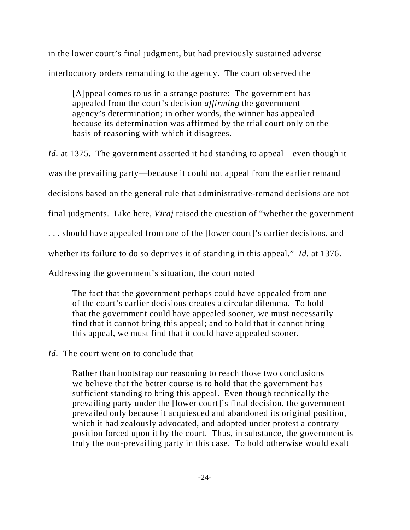in the lower court's final judgment, but had previously sustained adverse interlocutory orders remanding to the agency. The court observed the

[A]ppeal comes to us in a strange posture: The government has appealed from the court's decision *affirming* the government agency's determination; in other words, the winner has appealed because its determination was affirmed by the trial court only on the basis of reasoning with which it disagrees.

*Id.* at 1375. The government asserted it had standing to appeal—even though it was the prevailing party—because it could not appeal from the earlier remand decisions based on the general rule that administrative-remand decisions are not final judgments. Like here, *Viraj* raised the question of "whether the government . . . should have appealed from one of the [lower court]'s earlier decisions, and whether its failure to do so deprives it of standing in this appeal." *Id.* at 1376. Addressing the government's situation, the court noted

The fact that the government perhaps could have appealed from one of the court's earlier decisions creates a circular dilemma. To hold that the government could have appealed sooner, we must necessarily find that it cannot bring this appeal; and to hold that it cannot bring this appeal, we must find that it could have appealed sooner.

# *Id.* The court went on to conclude that

Rather than bootstrap our reasoning to reach those two conclusions we believe that the better course is to hold that the government has sufficient standing to bring this appeal. Even though technically the prevailing party under the [lower court]'s final decision, the government prevailed only because it acquiesced and abandoned its original position, which it had zealously advocated, and adopted under protest a contrary position forced upon it by the court. Thus, in substance, the government is truly the non-prevailing party in this case. To hold otherwise would exalt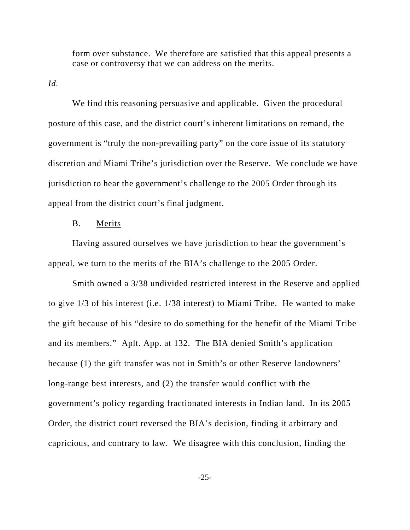form over substance. We therefore are satisfied that this appeal presents a case or controversy that we can address on the merits.

*Id.*

We find this reasoning persuasive and applicable. Given the procedural posture of this case, and the district court's inherent limitations on remand, the government is "truly the non-prevailing party" on the core issue of its statutory discretion and Miami Tribe's jurisdiction over the Reserve. We conclude we have jurisdiction to hear the government's challenge to the 2005 Order through its appeal from the district court's final judgment.

#### B. Merits

Having assured ourselves we have jurisdiction to hear the government's appeal, we turn to the merits of the BIA's challenge to the 2005 Order.

Smith owned a 3/38 undivided restricted interest in the Reserve and applied to give 1/3 of his interest (i.e. 1/38 interest) to Miami Tribe. He wanted to make the gift because of his "desire to do something for the benefit of the Miami Tribe and its members." Aplt. App. at 132. The BIA denied Smith's application because (1) the gift transfer was not in Smith's or other Reserve landowners' long-range best interests, and (2) the transfer would conflict with the government's policy regarding fractionated interests in Indian land. In its 2005 Order, the district court reversed the BIA's decision, finding it arbitrary and capricious, and contrary to law. We disagree with this conclusion, finding the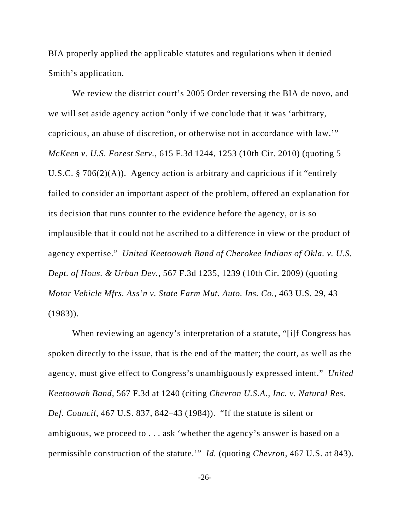BIA properly applied the applicable statutes and regulations when it denied Smith's application.

We review the district court's 2005 Order reversing the BIA de novo, and we will set aside agency action "only if we conclude that it was 'arbitrary, capricious, an abuse of discretion, or otherwise not in accordance with law.'" *McKeen v. U.S. Forest Serv.*, 615 F.3d 1244, 1253 (10th Cir. 2010) (quoting 5 U.S.C. § 706(2)(A)). Agency action is arbitrary and capricious if it "entirely failed to consider an important aspect of the problem, offered an explanation for its decision that runs counter to the evidence before the agency, or is so implausible that it could not be ascribed to a difference in view or the product of agency expertise." *United Keetoowah Band of Cherokee Indians of Okla. v. U.S. Dept. of Hous. & Urban Dev.*, 567 F.3d 1235, 1239 (10th Cir. 2009) (quoting *Motor Vehicle Mfrs. Ass'n v. State Farm Mut. Auto. Ins. Co.*, 463 U.S. 29, 43  $(1983)$ ).

When reviewing an agency's interpretation of a statute, "[i]f Congress has spoken directly to the issue, that is the end of the matter; the court, as well as the agency, must give effect to Congress's unambiguously expressed intent." *United Keetoowah Band,* 567 F.3d at 1240 (citing *Chevron U.S.A., Inc. v. Natural Res. Def. Council*, 467 U.S. 837, 842–43 (1984)). "If the statute is silent or ambiguous, we proceed to . . . ask 'whether the agency's answer is based on a permissible construction of the statute.'" *Id.* (quoting *Chevron*, 467 U.S. at 843).

-26-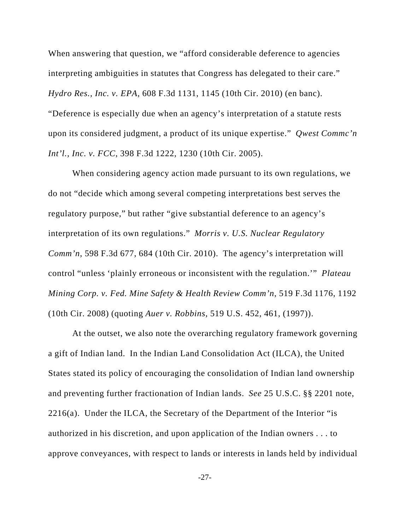When answering that question, we "afford considerable deference to agencies" interpreting ambiguities in statutes that Congress has delegated to their care." *Hydro Res., Inc. v. EPA*, 608 F.3d 1131, 1145 (10th Cir. 2010) (en banc). "Deference is especially due when an agency's interpretation of a statute rests upon its considered judgment, a product of its unique expertise." *Qwest Commc'n Int'l., Inc. v. FCC*, 398 F.3d 1222, 1230 (10th Cir. 2005).

When considering agency action made pursuant to its own regulations, we do not "decide which among several competing interpretations best serves the regulatory purpose," but rather "give substantial deference to an agency's interpretation of its own regulations." *Morris v. U.S. Nuclear Regulatory Comm'n*, 598 F.3d 677, 684 (10th Cir. 2010). The agency's interpretation will control "unless 'plainly erroneous or inconsistent with the regulation.'" *Plateau Mining Corp. v. Fed. Mine Safety & Health Review Comm'n*, 519 F.3d 1176, 1192 (10th Cir. 2008) (quoting *Auer v. Robbins*, 519 U.S. 452, 461, (1997)).

At the outset, we also note the overarching regulatory framework governing a gift of Indian land. In the Indian Land Consolidation Act (ILCA), the United States stated its policy of encouraging the consolidation of Indian land ownership and preventing further fractionation of Indian lands. *See* 25 U.S.C. §§ 2201 note,  $2216(a)$ . Under the ILCA, the Secretary of the Department of the Interior "is authorized in his discretion, and upon application of the Indian owners . . . to approve conveyances, with respect to lands or interests in lands held by individual

-27-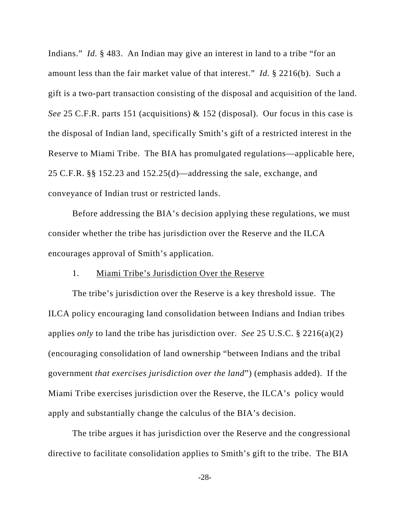Indians." *Id.* § 483. An Indian may give an interest in land to a tribe "for an amount less than the fair market value of that interest." *Id.* § 2216(b). Such a gift is a two-part transaction consisting of the disposal and acquisition of the land. *See* 25 C.F.R. parts 151 (acquisitions) & 152 (disposal). Our focus in this case is the disposal of Indian land, specifically Smith's gift of a restricted interest in the Reserve to Miami Tribe. The BIA has promulgated regulations—applicable here, 25 C.F.R. §§ 152.23 and 152.25(d)—addressing the sale, exchange, and conveyance of Indian trust or restricted lands.

Before addressing the BIA's decision applying these regulations, we must consider whether the tribe has jurisdiction over the Reserve and the ILCA encourages approval of Smith's application.

#### 1. Miami Tribe's Jurisdiction Over the Reserve

The tribe's jurisdiction over the Reserve is a key threshold issue. The ILCA policy encouraging land consolidation between Indians and Indian tribes applies *only* to land the tribe has jurisdiction over. *See* 25 U.S.C. § 2216(a)(2) (encouraging consolidation of land ownership "between Indians and the tribal government *that exercises jurisdiction over the land*") (emphasis added). If the Miami Tribe exercises jurisdiction over the Reserve, the ILCA's policy would apply and substantially change the calculus of the BIA's decision.

The tribe argues it has jurisdiction over the Reserve and the congressional directive to facilitate consolidation applies to Smith's gift to the tribe. The BIA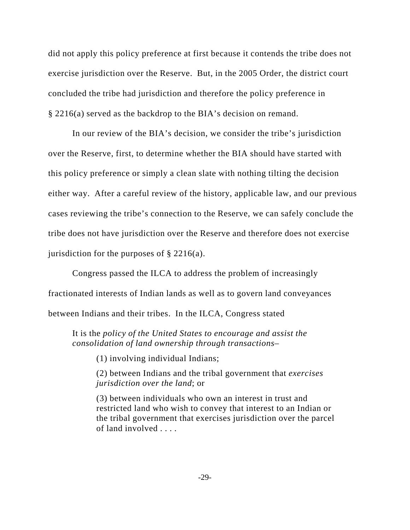did not apply this policy preference at first because it contends the tribe does not exercise jurisdiction over the Reserve. But, in the 2005 Order, the district court concluded the tribe had jurisdiction and therefore the policy preference in § 2216(a) served as the backdrop to the BIA's decision on remand.

In our review of the BIA's decision, we consider the tribe's jurisdiction over the Reserve, first, to determine whether the BIA should have started with this policy preference or simply a clean slate with nothing tilting the decision either way. After a careful review of the history, applicable law, and our previous cases reviewing the tribe's connection to the Reserve, we can safely conclude the tribe does not have jurisdiction over the Reserve and therefore does not exercise jurisdiction for the purposes of § 2216(a).

Congress passed the ILCA to address the problem of increasingly fractionated interests of Indian lands as well as to govern land conveyances between Indians and their tribes. In the ILCA, Congress stated

It is the *policy of the United States to encourage and assist the consolidation of land ownership through transactions*–

(1) involving individual Indians;

(2) between Indians and the tribal government that *exercises jurisdiction over the land*; or

(3) between individuals who own an interest in trust and restricted land who wish to convey that interest to an Indian or the tribal government that exercises jurisdiction over the parcel of land involved . . . .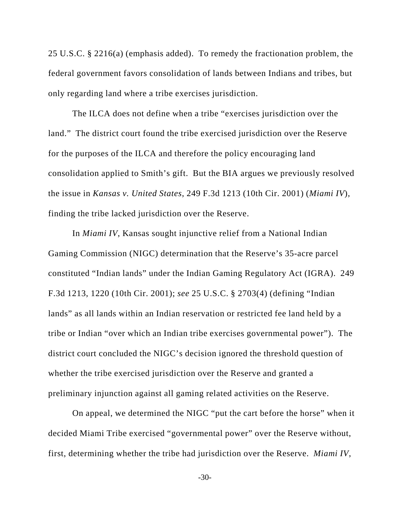25 U.S.C. § 2216(a) (emphasis added). To remedy the fractionation problem, the federal government favors consolidation of lands between Indians and tribes, but only regarding land where a tribe exercises jurisdiction.

The ILCA does not define when a tribe "exercises jurisdiction over the land." The district court found the tribe exercised jurisdiction over the Reserve for the purposes of the ILCA and therefore the policy encouraging land consolidation applied to Smith's gift. But the BIA argues we previously resolved the issue in *Kansas v. United States*, 249 F.3d 1213 (10th Cir. 2001) (*Miami IV*), finding the tribe lacked jurisdiction over the Reserve.

In *Miami IV*, Kansas sought injunctive relief from a National Indian Gaming Commission (NIGC) determination that the Reserve's 35-acre parcel constituted "Indian lands" under the Indian Gaming Regulatory Act (IGRA). 249 F.3d 1213, 1220 (10th Cir. 2001); *see* 25 U.S.C. § 2703(4) (defining "Indian lands" as all lands within an Indian reservation or restricted fee land held by a tribe or Indian "over which an Indian tribe exercises governmental power"). The district court concluded the NIGC's decision ignored the threshold question of whether the tribe exercised jurisdiction over the Reserve and granted a preliminary injunction against all gaming related activities on the Reserve.

On appeal, we determined the NIGC "put the cart before the horse" when it decided Miami Tribe exercised "governmental power" over the Reserve without, first, determining whether the tribe had jurisdiction over the Reserve. *Miami IV*,

-30-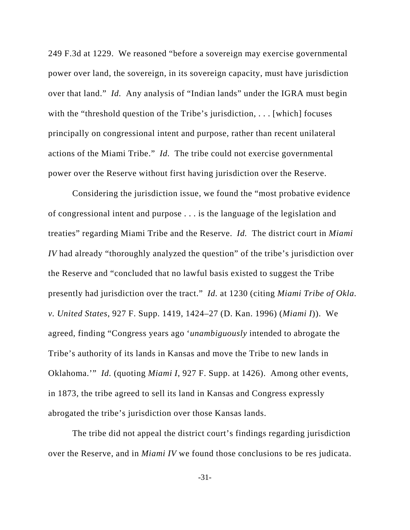249 F.3d at 1229. We reasoned "before a sovereign may exercise governmental power over land, the sovereign, in its sovereign capacity, must have jurisdiction over that land." *Id.* Any analysis of "Indian lands" under the IGRA must begin with the "threshold question of the Tribe's jurisdiction, . . . [which] focuses principally on congressional intent and purpose, rather than recent unilateral actions of the Miami Tribe." *Id.* The tribe could not exercise governmental power over the Reserve without first having jurisdiction over the Reserve.

Considering the jurisdiction issue, we found the "most probative evidence of congressional intent and purpose . . . is the language of the legislation and treaties" regarding Miami Tribe and the Reserve. *Id.* The district court in *Miami IV* had already "thoroughly analyzed the question" of the tribe's jurisdiction over the Reserve and "concluded that no lawful basis existed to suggest the Tribe presently had jurisdiction over the tract." *Id.* at 1230 (citing *Miami Tribe of Okla. v. United States*, 927 F. Supp. 1419, 1424–27 (D. Kan. 1996) (*Miami I*)). We agreed, finding "Congress years ago '*unambiguously* intended to abrogate the Tribe's authority of its lands in Kansas and move the Tribe to new lands in Oklahoma.'" *Id.* (quoting *Miami I*, 927 F. Supp. at 1426). Among other events, in 1873, the tribe agreed to sell its land in Kansas and Congress expressly abrogated the tribe's jurisdiction over those Kansas lands.

The tribe did not appeal the district court's findings regarding jurisdiction over the Reserve, and in *Miami IV* we found those conclusions to be res judicata.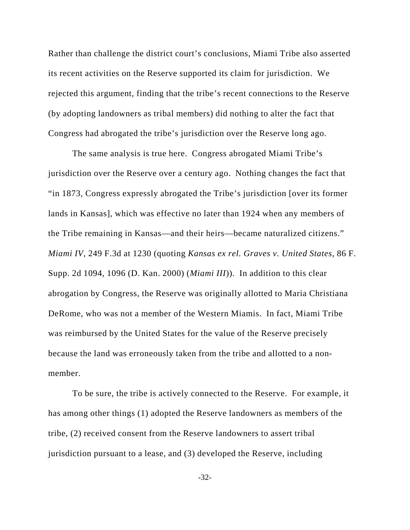Rather than challenge the district court's conclusions, Miami Tribe also asserted its recent activities on the Reserve supported its claim for jurisdiction.We rejected this argument, finding that the tribe's recent connections to the Reserve (by adopting landowners as tribal members) did nothing to alter the fact that Congress had abrogated the tribe's jurisdiction over the Reserve long ago.

The same analysis is true here. Congress abrogated Miami Tribe's jurisdiction over the Reserve over a century ago. Nothing changes the fact that "in 1873, Congress expressly abrogated the Tribe's jurisdiction [over its former lands in Kansas], which was effective no later than 1924 when any members of the Tribe remaining in Kansas—and their heirs—became naturalized citizens." *Miami IV*, 249 F.3d at 1230 (quoting *Kansas ex rel. Graves v. United States*, 86 F. Supp. 2d 1094, 1096 (D. Kan. 2000) (*Miami III*)). In addition to this clear abrogation by Congress, the Reserve was originally allotted to Maria Christiana DeRome, who was not a member of the Western Miamis. In fact, Miami Tribe was reimbursed by the United States for the value of the Reserve precisely because the land was erroneously taken from the tribe and allotted to a nonmember.

To be sure, the tribe is actively connected to the Reserve. For example, it has among other things (1) adopted the Reserve landowners as members of the tribe, (2) received consent from the Reserve landowners to assert tribal jurisdiction pursuant to a lease, and (3) developed the Reserve, including

-32-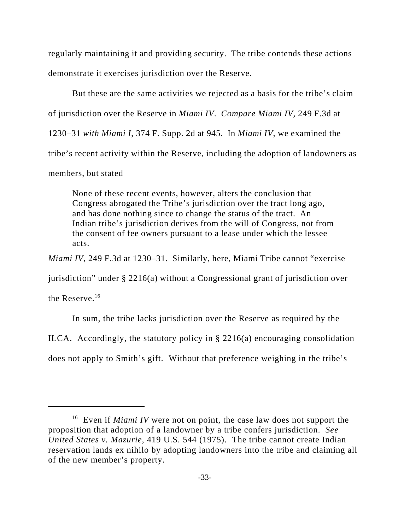regularly maintaining it and providing security. The tribe contends these actions demonstrate it exercises jurisdiction over the Reserve.

But these are the same activities we rejected as a basis for the tribe's claim of jurisdiction over the Reserve in *Miami IV*. *Compare Miami IV,* 249 F.3d at 1230–31 *with Miami I*, 374 F. Supp. 2d at 945. In *Miami IV*, we examined the tribe's recent activity within the Reserve, including the adoption of landowners as members, but stated

None of these recent events, however, alters the conclusion that Congress abrogated the Tribe's jurisdiction over the tract long ago, and has done nothing since to change the status of the tract. An Indian tribe's jurisdiction derives from the will of Congress, not from the consent of fee owners pursuant to a lease under which the lessee acts.

*Miami IV*, 249 F.3d at 1230–31. Similarly, here, Miami Tribe cannot "exercise

jurisdiction" under § 2216(a) without a Congressional grant of jurisdiction over

the Reserve.16

In sum, the tribe lacks jurisdiction over the Reserve as required by the

ILCA. Accordingly, the statutory policy in § 2216(a) encouraging consolidation

does not apply to Smith's gift. Without that preference weighing in the tribe's

<sup>&</sup>lt;sup>16</sup> Even if *Miami IV* were not on point, the case law does not support the proposition that adoption of a landowner by a tribe confers jurisdiction. *See United States v. Mazurie*, 419 U.S. 544 (1975). The tribe cannot create Indian reservation lands ex nihilo by adopting landowners into the tribe and claiming all of the new member's property.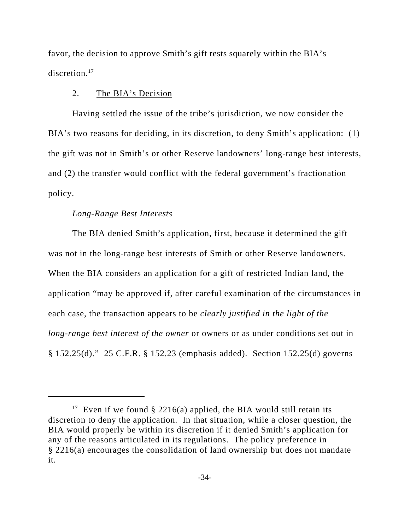favor, the decision to approve Smith's gift rests squarely within the BIA's discretion.<sup>17</sup>

## 2. The BIA's Decision

Having settled the issue of the tribe's jurisdiction, we now consider the BIA's two reasons for deciding, in its discretion, to deny Smith's application: (1) the gift was not in Smith's or other Reserve landowners' long-range best interests, and (2) the transfer would conflict with the federal government's fractionation policy.

## *Long-Range Best Interests*

The BIA denied Smith's application, first, because it determined the gift was not in the long-range best interests of Smith or other Reserve landowners. When the BIA considers an application for a gift of restricted Indian land, the application "may be approved if, after careful examination of the circumstances in each case, the transaction appears to be *clearly justified in the light of the long-range best interest of the owner* or owners or as under conditions set out in § 152.25(d)." 25 C.F.R. § 152.23 (emphasis added). Section 152.25(d) governs

<sup>&</sup>lt;sup>17</sup> Even if we found § 2216(a) applied, the BIA would still retain its discretion to deny the application. In that situation, while a closer question, the BIA would properly be within its discretion if it denied Smith's application for any of the reasons articulated in its regulations. The policy preference in § 2216(a) encourages the consolidation of land ownership but does not mandate it.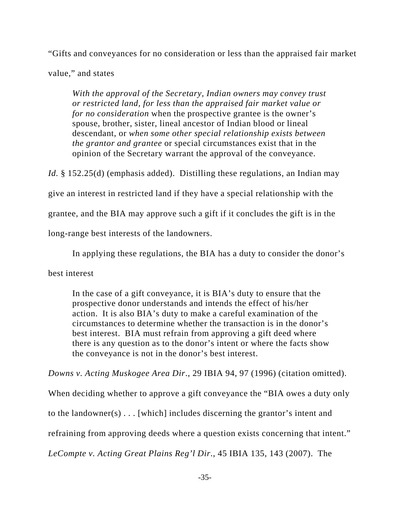"Gifts and conveyances for no consideration or less than the appraised fair market

value," and states

*With the approval of the Secretary, Indian owners may convey trust or restricted land, for less than the appraised fair market value or for no consideration* when the prospective grantee is the owner's spouse, brother, sister, lineal ancestor of Indian blood or lineal descendant, or *when some other special relationship exists between the grantor and grantee* or special circumstances exist that in the opinion of the Secretary warrant the approval of the conveyance.

*Id.* § 152.25(d) (emphasis added). Distilling these regulations, an Indian may

give an interest in restricted land if they have a special relationship with the

grantee, and the BIA may approve such a gift if it concludes the gift is in the

long-range best interests of the landowners.

In applying these regulations, the BIA has a duty to consider the donor's

best interest

In the case of a gift conveyance, it is BIA's duty to ensure that the prospective donor understands and intends the effect of his/her action. It is also BIA's duty to make a careful examination of the circumstances to determine whether the transaction is in the donor's best interest. BIA must refrain from approving a gift deed where there is any question as to the donor's intent or where the facts show the conveyance is not in the donor's best interest.

*Downs v. Acting Muskogee Area Dir*., 29 IBIA 94, 97 (1996) (citation omitted).

When deciding whether to approve a gift conveyance the "BIA owes a duty only

to the landowner(s) . . . [which] includes discerning the grantor's intent and

refraining from approving deeds where a question exists concerning that intent."

*LeCompte v. Acting Great Plains Reg'l Dir*., 45 IBIA 135, 143 (2007). The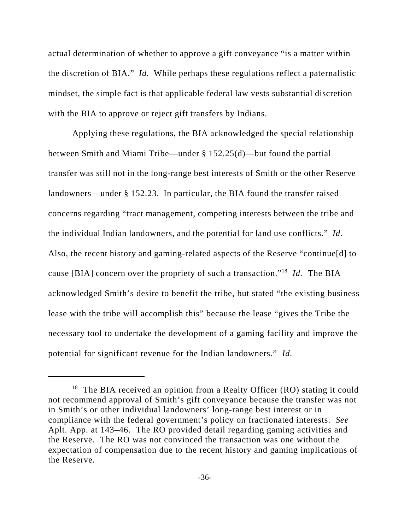actual determination of whether to approve a gift conveyance "is a matter within the discretion of BIA." *Id.* While perhaps these regulations reflect a paternalistic mindset, the simple fact is that applicable federal law vests substantial discretion with the BIA to approve or reject gift transfers by Indians.

Applying these regulations, the BIA acknowledged the special relationship between Smith and Miami Tribe—under § 152.25(d)—but found the partial transfer was still not in the long-range best interests of Smith or the other Reserve landowners—under § 152.23. In particular, the BIA found the transfer raised concerns regarding "tract management, competing interests between the tribe and the individual Indian landowners, and the potential for land use conflicts." *Id.*  Also, the recent history and gaming-related aspects of the Reserve "continue[d] to cause [BIA] concern over the propriety of such a transaction."18 *Id.* The BIA acknowledged Smith's desire to benefit the tribe, but stated "the existing business lease with the tribe will accomplish this" because the lease "gives the Tribe the necessary tool to undertake the development of a gaming facility and improve the potential for significant revenue for the Indian landowners." *Id.*

 $18$  The BIA received an opinion from a Realty Officer (RO) stating it could not recommend approval of Smith's gift conveyance because the transfer was not in Smith's or other individual landowners' long-range best interest or in compliance with the federal government's policy on fractionated interests. *See* Aplt. App. at 143–46. The RO provided detail regarding gaming activities and the Reserve. The RO was not convinced the transaction was one without the expectation of compensation due to the recent history and gaming implications of the Reserve.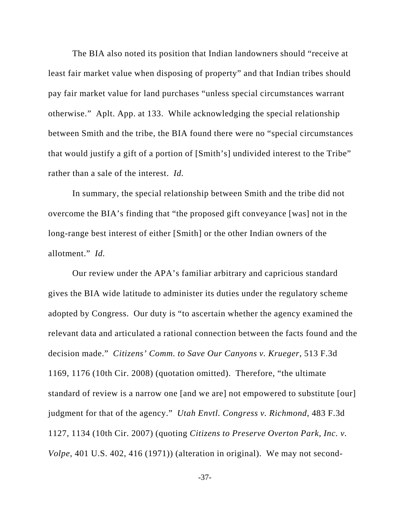The BIA also noted its position that Indian landowners should "receive at least fair market value when disposing of property" and that Indian tribes should pay fair market value for land purchases "unless special circumstances warrant otherwise." Aplt. App. at 133. While acknowledging the special relationship between Smith and the tribe, the BIA found there were no "special circumstances that would justify a gift of a portion of [Smith's] undivided interest to the Tribe" rather than a sale of the interest. *Id.*

In summary, the special relationship between Smith and the tribe did not overcome the BIA's finding that "the proposed gift conveyance [was] not in the long-range best interest of either [Smith] or the other Indian owners of the allotment." *Id.*

Our review under the APA's familiar arbitrary and capricious standard gives the BIA wide latitude to administer its duties under the regulatory scheme adopted by Congress. Our duty is "to ascertain whether the agency examined the relevant data and articulated a rational connection between the facts found and the decision made." *Citizens' Comm. to Save Our Canyons v. Krueger*, 513 F.3d 1169, 1176 (10th Cir. 2008) (quotation omitted). Therefore, "the ultimate standard of review is a narrow one [and we are] not empowered to substitute [our] judgment for that of the agency." *Utah Envtl. Congress v. Richmond*, 483 F.3d 1127, 1134 (10th Cir. 2007) (quoting *Citizens to Preserve Overton Park, Inc. v. Volpe*, 401 U.S. 402, 416 (1971)) (alteration in original). We may not second-

-37-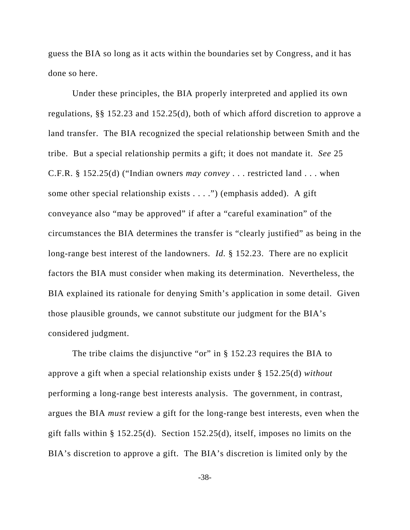guess the BIA so long as it acts within the boundaries set by Congress, and it has done so here.

Under these principles, the BIA properly interpreted and applied its own regulations, §§ 152.23 and 152.25(d), both of which afford discretion to approve a land transfer. The BIA recognized the special relationship between Smith and the tribe. But a special relationship permits a gift; it does not mandate it. *See* 25 C.F.R. § 152.25(d) ("Indian owners *may convey* . . . restricted land . . . when some other special relationship exists . . . .") (emphasis added). A gift conveyance also "may be approved" if after a "careful examination" of the circumstances the BIA determines the transfer is "clearly justified" as being in the long-range best interest of the landowners. *Id.* § 152.23. There are no explicit factors the BIA must consider when making its determination. Nevertheless, the BIA explained its rationale for denying Smith's application in some detail. Given those plausible grounds, we cannot substitute our judgment for the BIA's considered judgment.

The tribe claims the disjunctive "or" in § 152.23 requires the BIA to approve a gift when a special relationship exists under § 152.25(d) *without* performing a long-range best interests analysis. The government, in contrast, argues the BIA *must* review a gift for the long-range best interests, even when the gift falls within § 152.25(d). Section 152.25(d), itself, imposes no limits on the BIA's discretion to approve a gift. The BIA's discretion is limited only by the

-38-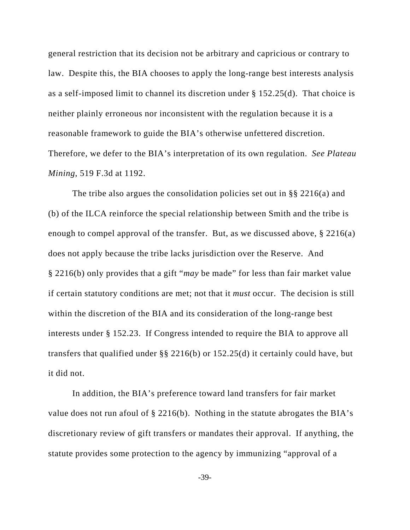general restriction that its decision not be arbitrary and capricious or contrary to law. Despite this, the BIA chooses to apply the long-range best interests analysis as a self-imposed limit to channel its discretion under § 152.25(d). That choice is neither plainly erroneous nor inconsistent with the regulation because it is a reasonable framework to guide the BIA's otherwise unfettered discretion. Therefore, we defer to the BIA's interpretation of its own regulation. *See Plateau Mining*, 519 F.3d at 1192.

The tribe also argues the consolidation policies set out in §§ 2216(a) and (b) of the ILCA reinforce the special relationship between Smith and the tribe is enough to compel approval of the transfer. But, as we discussed above, § 2216(a) does not apply because the tribe lacks jurisdiction over the Reserve. And § 2216(b) only provides that a gift "*may* be made" for less than fair market value if certain statutory conditions are met; not that it *must* occur. The decision is still within the discretion of the BIA and its consideration of the long-range best interests under § 152.23. If Congress intended to require the BIA to approve all transfers that qualified under §§ 2216(b) or 152.25(d) it certainly could have, but it did not.

In addition, the BIA's preference toward land transfers for fair market value does not run afoul of § 2216(b). Nothing in the statute abrogates the BIA's discretionary review of gift transfers or mandates their approval. If anything, the statute provides some protection to the agency by immunizing "approval of a

-39-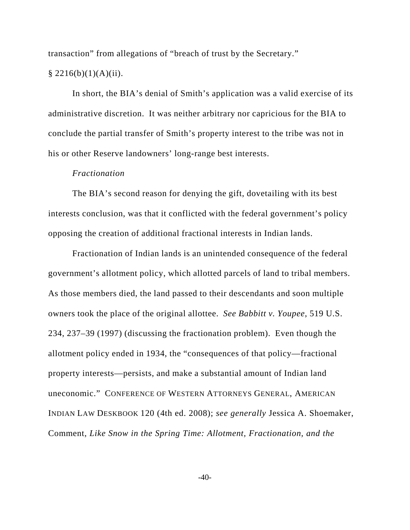transaction" from allegations of "breach of trust by the Secretary."  $§$  2216(b)(1)(A)(ii).

In short, the BIA's denial of Smith's application was a valid exercise of its administrative discretion. It was neither arbitrary nor capricious for the BIA to conclude the partial transfer of Smith's property interest to the tribe was not in his or other Reserve landowners' long-range best interests.

#### *Fractionation*

The BIA's second reason for denying the gift, dovetailing with its best interests conclusion, was that it conflicted with the federal government's policy opposing the creation of additional fractional interests in Indian lands.

Fractionation of Indian lands is an unintended consequence of the federal government's allotment policy, which allotted parcels of land to tribal members. As those members died, the land passed to their descendants and soon multiple owners took the place of the original allottee. *See Babbitt v. Youpee*, 519 U.S. 234, 237–39 (1997) (discussing the fractionation problem). Even though the allotment policy ended in 1934, the "consequences of that policy—fractional property interests—persists, and make a substantial amount of Indian land uneconomic." CONFERENCE OF WESTERN ATTORNEYS GENERAL, AMERICAN INDIAN LAW DESKBOOK 120 (4th ed. 2008); *see generally* Jessica A. Shoemaker, Comment, *Like Snow in the Spring Time: Allotment, Fractionation, and the*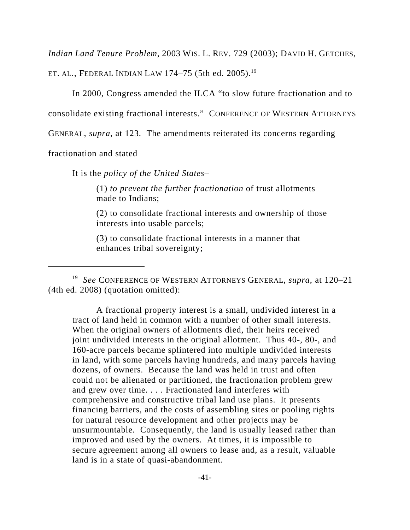*Indian Land Tenure Problem*, 2003 WIS. L. REV. 729 (2003); DAVID H. GETCHES,

ET. AL., FEDERAL INDIAN LAW 174–75 (5th ed. 2005).<sup>19</sup>

In 2000, Congress amended the ILCA "to slow future fractionation and to

consolidate existing fractional interests." CONFERENCE OF WESTERN ATTORNEYS

GENERAL, *supra*, at 123. The amendments reiterated its concerns regarding

fractionation and stated

It is the *policy of the United States*–

(1) *to prevent the further fractionation* of trust allotments made to Indians;

(2) to consolidate fractional interests and ownership of those interests into usable parcels;

(3) to consolidate fractional interests in a manner that enhances tribal sovereignty;

A fractional property interest is a small, undivided interest in a tract of land held in common with a number of other small interests. When the original owners of allotments died, their heirs received joint undivided interests in the original allotment. Thus 40-, 80-, and 160-acre parcels became splintered into multiple undivided interests in land, with some parcels having hundreds, and many parcels having dozens, of owners. Because the land was held in trust and often could not be alienated or partitioned, the fractionation problem grew and grew over time. . . . Fractionated land interferes with comprehensive and constructive tribal land use plans. It presents financing barriers, and the costs of assembling sites or pooling rights for natural resource development and other projects may be unsurmountable. Consequently, the land is usually leased rather than improved and used by the owners. At times, it is impossible to secure agreement among all owners to lease and, as a result, valuable land is in a state of quasi-abandonment.

<sup>19</sup> *See* CONFERENCE OF WESTERN ATTORNEYS GENERAL, *supra*, at 120–21 (4th ed. 2008) (quotation omitted):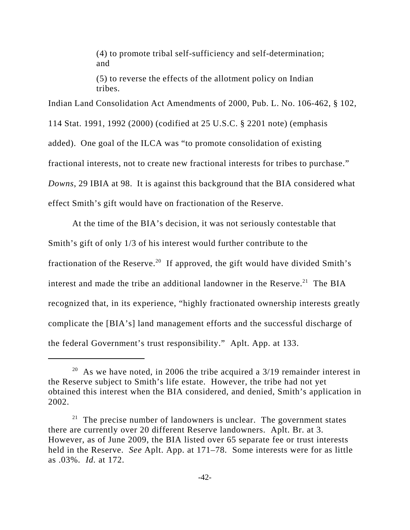(4) to promote tribal self-sufficiency and self-determination; and

(5) to reverse the effects of the allotment policy on Indian tribes.

Indian Land Consolidation Act Amendments of 2000, Pub. L. No. 106-462, § 102, 114 Stat. 1991, 1992 (2000) (codified at 25 U.S.C. § 2201 note) (emphasis added). One goal of the ILCA was "to promote consolidation of existing fractional interests, not to create new fractional interests for tribes to purchase." *Downs*, 29 IBIA at 98. It is against this background that the BIA considered what effect Smith's gift would have on fractionation of the Reserve.

At the time of the BIA's decision, it was not seriously contestable that Smith's gift of only 1/3 of his interest would further contribute to the fractionation of the Reserve.<sup>20</sup> If approved, the gift would have divided Smith's interest and made the tribe an additional landowner in the Reserve.<sup>21</sup> The BIA recognized that, in its experience, "highly fractionated ownership interests greatly complicate the [BIA's] land management efforts and the successful discharge of the federal Government's trust responsibility." Aplt. App. at 133.

<sup>&</sup>lt;sup>20</sup> As we have noted, in 2006 the tribe acquired a  $3/19$  remainder interest in the Reserve subject to Smith's life estate. However, the tribe had not yet obtained this interest when the BIA considered, and denied, Smith's application in 2002.

 $21$  The precise number of landowners is unclear. The government states there are currently over 20 different Reserve landowners. Aplt. Br. at 3. However, as of June 2009, the BIA listed over 65 separate fee or trust interests held in the Reserve. *See* Aplt. App. at 171–78. Some interests were for as little as .03%. *Id.* at 172.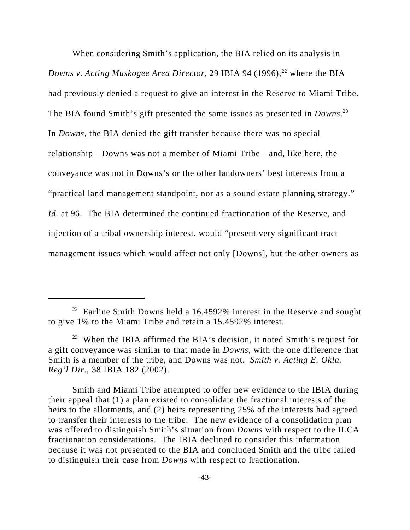When considering Smith's application, the BIA relied on its analysis in *Downs v. Acting Muskogee Area Director*, 29 IBIA 94 (1996),<sup>22</sup> where the BIA had previously denied a request to give an interest in the Reserve to Miami Tribe. The BIA found Smith's gift presented the same issues as presented in *Downs*. 23 In *Downs*, the BIA denied the gift transfer because there was no special relationship—Downs was not a member of Miami Tribe—and, like here, the conveyance was not in Downs's or the other landowners' best interests from a "practical land management standpoint, nor as a sound estate planning strategy." *Id.* at 96. The BIA determined the continued fractionation of the Reserve, and injection of a tribal ownership interest, would "present very significant tract management issues which would affect not only [Downs], but the other owners as

Smith and Miami Tribe attempted to offer new evidence to the IBIA during their appeal that (1) a plan existed to consolidate the fractional interests of the heirs to the allotments, and (2) heirs representing 25% of the interests had agreed to transfer their interests to the tribe. The new evidence of a consolidation plan was offered to distinguish Smith's situation from *Downs* with respect to the ILCA fractionation considerations. The IBIA declined to consider this information because it was not presented to the BIA and concluded Smith and the tribe failed to distinguish their case from *Downs* with respect to fractionation.

 $22$  Earline Smith Downs held a 16.4592% interest in the Reserve and sought to give 1% to the Miami Tribe and retain a 15.4592% interest.

<sup>&</sup>lt;sup>23</sup> When the IBIA affirmed the BIA's decision, it noted Smith's request for a gift conveyance was similar to that made in *Downs*, with the one difference that Smith is a member of the tribe, and Downs was not. *Smith v. Acting E. Okla. Reg'l Dir*., 38 IBIA 182 (2002).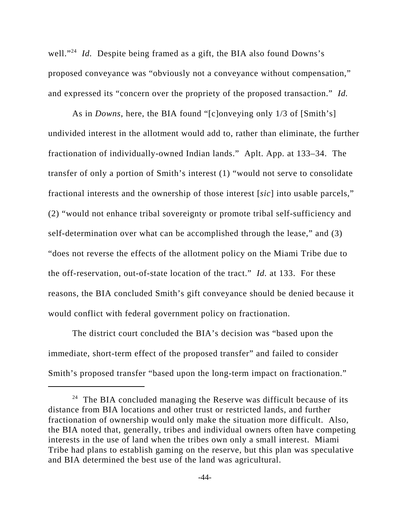well."<sup>24</sup> *Id.* Despite being framed as a gift, the BIA also found Downs's proposed conveyance was "obviously not a conveyance without compensation," and expressed its "concern over the propriety of the proposed transaction." *Id.*

As in *Downs*, here, the BIA found "[c]onveying only 1/3 of [Smith's] undivided interest in the allotment would add to, rather than eliminate, the further fractionation of individually-owned Indian lands." Aplt. App. at 133–34. The transfer of only a portion of Smith's interest (1) "would not serve to consolidate fractional interests and the ownership of those interest [*sic*] into usable parcels," (2) "would not enhance tribal sovereignty or promote tribal self-sufficiency and self-determination over what can be accomplished through the lease," and (3) "does not reverse the effects of the allotment policy on the Miami Tribe due to the off-reservation, out-of-state location of the tract." *Id.* at 133. For these reasons, the BIA concluded Smith's gift conveyance should be denied because it would conflict with federal government policy on fractionation.

The district court concluded the BIA's decision was "based upon the immediate, short-term effect of the proposed transfer" and failed to consider Smith's proposed transfer "based upon the long-term impact on fractionation."

 $24$  The BIA concluded managing the Reserve was difficult because of its distance from BIA locations and other trust or restricted lands, and further fractionation of ownership would only make the situation more difficult. Also, the BIA noted that, generally, tribes and individual owners often have competing interests in the use of land when the tribes own only a small interest. Miami Tribe had plans to establish gaming on the reserve, but this plan was speculative and BIA determined the best use of the land was agricultural.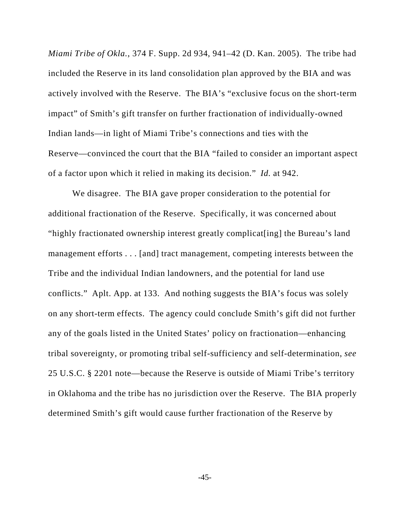*Miami Tribe of Okla.*, 374 F. Supp. 2d 934, 941–42 (D. Kan. 2005). The tribe had included the Reserve in its land consolidation plan approved by the BIA and was actively involved with the Reserve. The BIA's "exclusive focus on the short-term impact" of Smith's gift transfer on further fractionation of individually-owned Indian lands—in light of Miami Tribe's connections and ties with the Reserve—convinced the court that the BIA "failed to consider an important aspect of a factor upon which it relied in making its decision." *Id.* at 942.

We disagree. The BIA gave proper consideration to the potential for additional fractionation of the Reserve. Specifically, it was concerned about "highly fractionated ownership interest greatly complicat[ing] the Bureau's land management efforts . . . [and] tract management, competing interests between the Tribe and the individual Indian landowners, and the potential for land use conflicts." Aplt. App. at 133. And nothing suggests the BIA's focus was solely on any short-term effects. The agency could conclude Smith's gift did not further any of the goals listed in the United States' policy on fractionation—enhancing tribal sovereignty, or promoting tribal self-sufficiency and self-determination, *see* 25 U.S.C. § 2201 note—because the Reserve is outside of Miami Tribe's territory in Oklahoma and the tribe has no jurisdiction over the Reserve. The BIA properly determined Smith's gift would cause further fractionation of the Reserve by